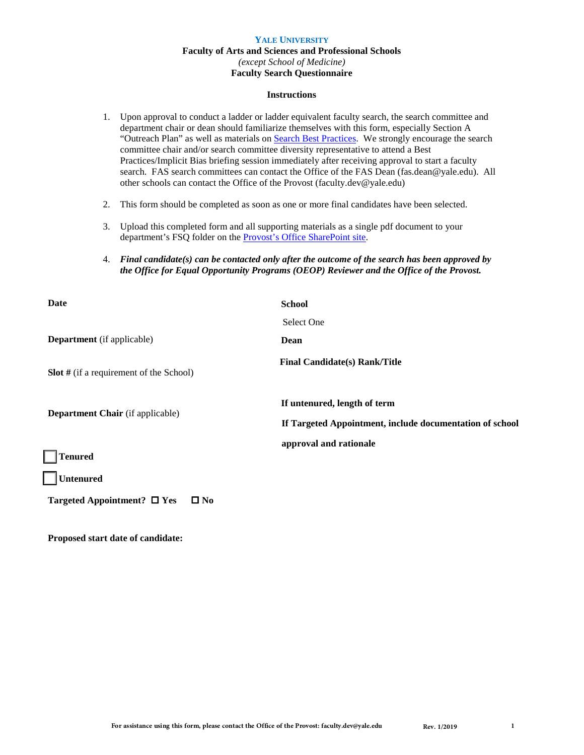## **YALE UNIVERSITY Faculty of Arts and Sciences and Professional Schools** *(except School of Medicine)* **Faculty Search Questionnaire**

#### **Instructions**

- 1. Upon approval to conduct a ladder or ladder equivalent faculty search, the search committee and department chair or dean should familiarize themselves with this form, especially Section A "Outreach Plan" as well as materials on [Search Best Practices.](https://faculty.yale.edu/faculty-search-committee-resources) We strongly encourage the search committee chair and/or search committee diversity representative to attend a Best Practices/Implicit Bias briefing session immediately after receiving approval to start a faculty search. FAS search committees can contact the Office of the FAS Dean (fas.dean@yale.edu). All other schools can contact the Office of the Provost (faculty.dev@yale.edu)
- 2. This form should be completed as soon as one or more final candidates have been selected.
- 3. Upload this completed form and all supporting materials as a single pdf document to your department's FSQ folder on the [Provost's Office SharePoint site.](https://yaleedu.sharepoint.com/sites/departments-provostoffice/facdev/default.aspx)
- 4. *Final candidate(s) can be contacted only after the outcome of the search has been approved by the Office for Equal Opportunity Programs (OEOP) Reviewer and the Office of the Provost.*

| Date                                             | <b>School</b>                                                                            |
|--------------------------------------------------|------------------------------------------------------------------------------------------|
|                                                  | Select One                                                                               |
| <b>Department</b> (if applicable)                | Dean                                                                                     |
| <b>Slot</b> # (if a requirement of the School)   | <b>Final Candidate(s) Rank/Title</b>                                                     |
| Department Chair (if applicable)                 | If untenured, length of term<br>If Targeted Appointment, include documentation of school |
| <b>Tenured</b>                                   | approval and rationale                                                                   |
| <b>Untenured</b>                                 |                                                                                          |
| Targeted Appointment? $\Box$ Yes<br>$\square$ No |                                                                                          |

**Proposed start date of candidate:**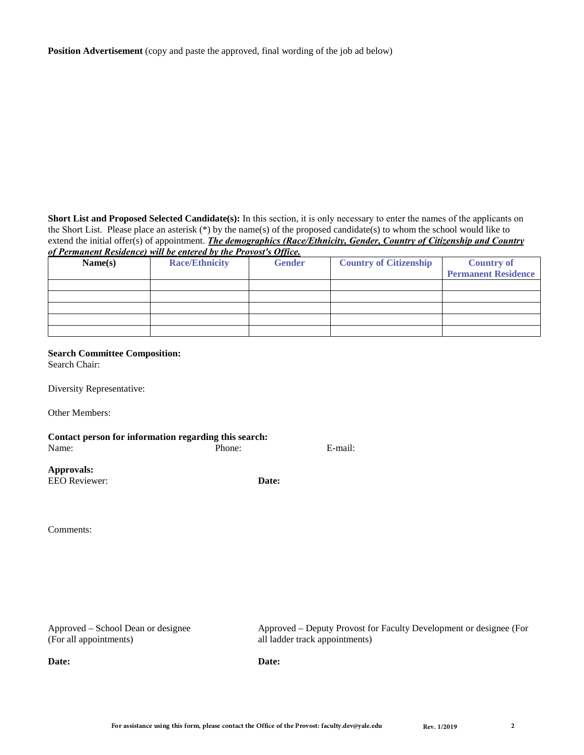**Position Advertisement** (copy and paste the approved, final wording of the job ad below)

**Short List and Proposed Selected Candidate(s):** In this section, it is only necessary to enter the names of the applicants on the Short List. Please place an asterisk (\*) by the name(s) of the proposed candidate(s) to whom the school would like to extend the initial offer(s) of appointment. *The demographics (Race/Ethnicity, Gender, Country of Citizenship and Country of Permanent Residence) will be entered by the Provost's Office.*

| of I comment hestached was seenal on of the ITO FOST's Office. |                       |               |                               |                            |
|----------------------------------------------------------------|-----------------------|---------------|-------------------------------|----------------------------|
| Name(s)                                                        | <b>Race/Ethnicity</b> | <b>Gender</b> | <b>Country of Citizenship</b> | <b>Country of</b>          |
|                                                                |                       |               |                               | <b>Permanent Residence</b> |
|                                                                |                       |               |                               |                            |
|                                                                |                       |               |                               |                            |
|                                                                |                       |               |                               |                            |
|                                                                |                       |               |                               |                            |
|                                                                |                       |               |                               |                            |

#### **Search Committee Composition:**

Search Chair:

Diversity Representative:

Other Members:

| Contact person for information regarding this search: |        |         |
|-------------------------------------------------------|--------|---------|
| Name:                                                 | Phone: | E-mail: |
| Approvals:<br>EEO Reviewer:                           | Date:  |         |

Comments:

Approved – School Dean or designee (For all appointments)

**Date:**

Approved – Deputy Provost for Faculty Development or designee (For all ladder track appointments)

**Date:**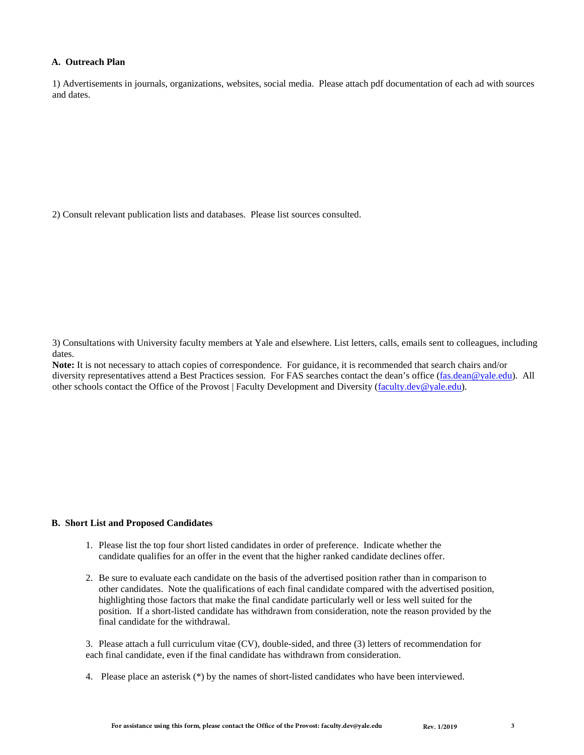# **A. Outreach Plan**

1) Advertisements in journals, organizations, websites, social media. Please attach pdf documentation of each ad with sources and dates.

2) Consult relevant publication lists and databases. Please list sources consulted.

3) Consultations with University faculty members at Yale and elsewhere. List letters, calls, emails sent to colleagues, including dates.

**Note:** It is not necessary to attach copies of correspondence. For guidance, it is recommended that search chairs and/or diversity representatives attend a Best Practices session. For FAS searches contact the dean's office (fas.dean@yale.edu). All other schools contact the Office of the Provost | Faculty Development and Diversity (faculty.dev@yale.edu).

#### **B. Short List and Proposed Candidates**

- 1. Please list the top four short listed candidates in order of preference. Indicate whether the candidate qualifies for an offer in the event that the higher ranked candidate declines offer.
- 2. Be sure to evaluate each candidate on the basis of the advertised position rather than in comparison to other candidates. Note the qualifications of each final candidate compared with the advertised position, highlighting those factors that make the final candidate particularly well or less well suited for the position. If a short-listed candidate has withdrawn from consideration, note the reason provided by the final candidate for the withdrawal.

3. Please attach a full curriculum vitae (CV), double-sided, and three (3) letters of recommendation for each final candidate, even if the final candidate has withdrawn from consideration.

4. Please place an asterisk (\*) by the names of short-listed candidates who have been interviewed.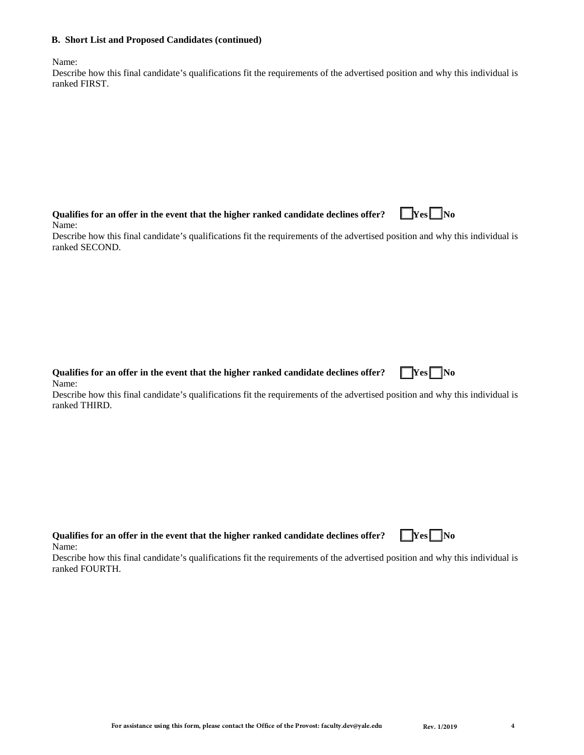#### **B. Short List and Proposed Candidates (continued)**

Name:

| Describe how this final candidate's qualifications fit the requirements of the advertised position and why this individual is |  |
|-------------------------------------------------------------------------------------------------------------------------------|--|
| ranked FIRST.                                                                                                                 |  |

| Qualifies for an offer in the event that the higher ranked candidate declines offer? | $\square$ Yes $\square$ No |
|--------------------------------------------------------------------------------------|----------------------------|
| Name:                                                                                |                            |

Describe how this final candidate's qualifications fit the requirements of the advertised position and why this individual is ranked SECOND.

**Qualifies for an offer in the event that the higher ranked candidate declines offer?**  $\Box$  **Yes**  $\Box$  **No** Name:

Describe how this final candidate's qualifications fit the requirements of the advertised position and why this individual is ranked THIRD.

| Qualifies for an offer in the event that the higher ranked candidate declines offer? $\Box$ [Yes] $\Box$ No |  |
|-------------------------------------------------------------------------------------------------------------|--|
| Name:                                                                                                       |  |

Describe how this final candidate's qualifications fit the requirements of the advertised position and why this individual is ranked FOURTH.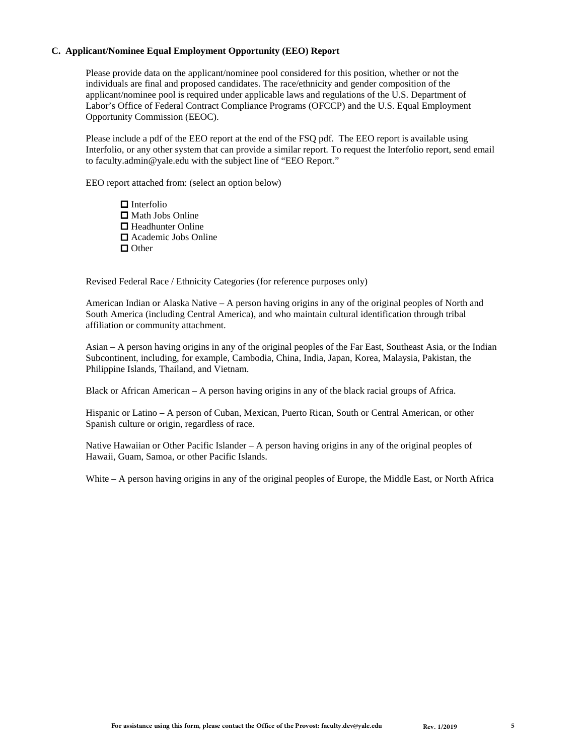# **C. Applicant/Nominee Equal Employment Opportunity (EEO) Report**

Please provide data on the applicant/nominee pool considered for this position, whether or not the individuals are final and proposed candidates. The race/ethnicity and gender composition of the applicant/nominee pool is required under applicable laws and regulations of the U.S. Department of Labor's Office of Federal Contract Compliance Programs (OFCCP) and the U.S. Equal Employment Opportunity Commission (EEOC).

Please include a pdf of the EEO report at the end of the FSQ pdf. The EEO report is available using Interfolio, or any other system that can provide a similar report. To request the Interfolio report, send email to faculty.admin@yale.edu with the subject line of "EEO Report."

EEO report attached from: (select an option below)

 $\Box$  Interfolio  $\Box$  Math Jobs Online  $\Box$  Headhunter Online Academic Jobs Online □ Other

Revised Federal Race / Ethnicity Categories (for reference purposes only)

American Indian or Alaska Native – A person having origins in any of the original peoples of North and South America (including Central America), and who maintain cultural identification through tribal affiliation or community attachment.

Asian – A person having origins in any of the original peoples of the Far East, Southeast Asia, or the Indian Subcontinent, including, for example, Cambodia, China, India, Japan, Korea, Malaysia, Pakistan, the Philippine Islands, Thailand, and Vietnam.

Black or African American – A person having origins in any of the black racial groups of Africa.

Hispanic or Latino – A person of Cuban, Mexican, Puerto Rican, South or Central American, or other Spanish culture or origin, regardless of race.

Native Hawaiian or Other Pacific Islander – A person having origins in any of the original peoples of Hawaii, Guam, Samoa, or other Pacific Islands.

White – A person having origins in any of the original peoples of Europe, the Middle East, or North Africa